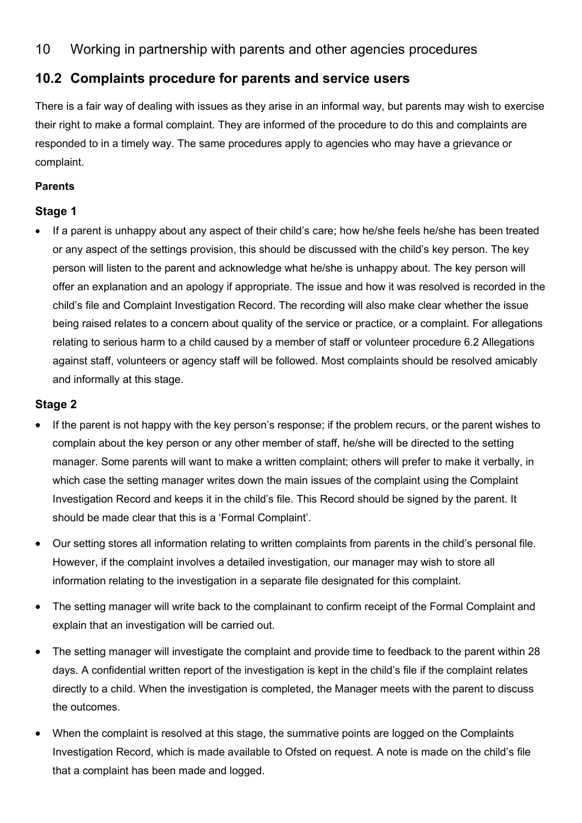# 10 Working in partnership with parents and other agencies procedures

# **10.2 Complaints procedure for parents and service users**

There is a fair way of dealing with issues as they arise in an informal way, but parents may wish to exercise their right to make a formal complaint. They are informed of the procedure to do this and complaints are responded to in a timely way. The same procedures apply to agencies who may have a grievance or complaint.

### **Parents**

### **Stage 1**

• If a parent is unhappy about any aspect of their child's care; how he/she feels he/she has been treated or any aspect of the settings provision, this should be discussed with the child's key person. The key person will listen to the parent and acknowledge what he/she is unhappy about. The key person will offer an explanation and an apology if appropriate. The issue and how it was resolved is recorded in the child's file and Complaint Investigation Record. The recording will also make clear whether the issue being raised relates to a concern about quality of the service or practice, or a complaint. For allegations relating to serious harm to a child caused by a member of staff or volunteer procedure 6.2 Allegations against staff, volunteers or agency staff will be followed. Most complaints should be resolved amicably and informally at this stage.

### **Stage 2**

- If the parent is not happy with the key person's response; if the problem recurs, or the parent wishes to complain about the key person or any other member of staff, he/she will be directed to the setting manager. Some parents will want to make a written complaint; others will prefer to make it verbally, in which case the setting manager writes down the main issues of the complaint using the Complaint Investigation Record and keeps it in the child's file. This Record should be signed by the parent. It should be made clear that this is a 'Formal Complaint'.
- Our setting stores all information relating to written complaints from parents in the child's personal file. However, if the complaint involves a detailed investigation, our manager may wish to store all information relating to the investigation in a separate file designated for this complaint.
- The setting manager will write back to the complainant to confirm receipt of the Formal Complaint and explain that an investigation will be carried out.
- The setting manager will investigate the complaint and provide time to feedback to the parent within 28 days. A confidential written report of the investigation is kept in the child's file if the complaint relates directly to a child. When the investigation is completed, the Manager meets with the parent to discuss the outcomes.
- When the complaint is resolved at this stage, the summative points are logged on the Complaints Investigation Record, which is made available to Ofsted on request. A note is made on the child's file that a complaint has been made and logged.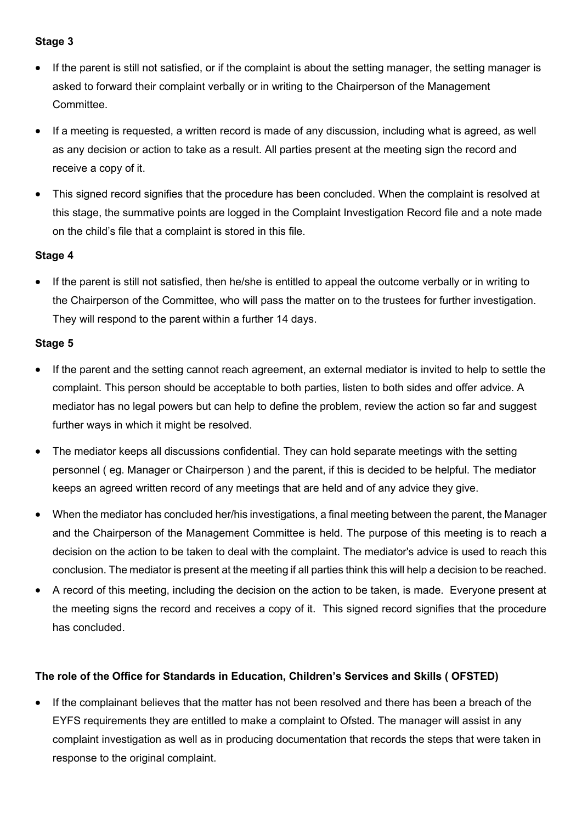### **Stage 3**

- If the parent is still not satisfied, or if the complaint is about the setting manager, the setting manager is asked to forward their complaint verbally or in writing to the Chairperson of the Management **Committee.**
- If a meeting is requested, a written record is made of any discussion, including what is agreed, as well as any decision or action to take as a result. All parties present at the meeting sign the record and receive a copy of it.
- This signed record signifies that the procedure has been concluded. When the complaint is resolved at this stage, the summative points are logged in the Complaint Investigation Record file and a note made on the child's file that a complaint is stored in this file.

## **Stage 4**

If the parent is still not satisfied, then he/she is entitled to appeal the outcome verbally or in writing to the Chairperson of the Committee, who will pass the matter on to the trustees for further investigation. They will respond to the parent within a further 14 days.

## **Stage 5**

- If the parent and the setting cannot reach agreement, an external mediator is invited to help to settle the complaint. This person should be acceptable to both parties, listen to both sides and offer advice. A mediator has no legal powers but can help to define the problem, review the action so far and suggest further ways in which it might be resolved.
- The mediator keeps all discussions confidential. They can hold separate meetings with the setting personnel ( eg. Manager or Chairperson ) and the parent, if this is decided to be helpful. The mediator keeps an agreed written record of any meetings that are held and of any advice they give.
- When the mediator has concluded her/his investigations, a final meeting between the parent, the Manager and the Chairperson of the Management Committee is held. The purpose of this meeting is to reach a decision on the action to be taken to deal with the complaint. The mediator's advice is used to reach this conclusion. The mediator is present at the meeting if all parties think this will help a decision to be reached.
- A record of this meeting, including the decision on the action to be taken, is made. Everyone present at the meeting signs the record and receives a copy of it. This signed record signifies that the procedure has concluded.

### **The role of the Office for Standards in Education, Children's Services and Skills ( OFSTED)**

• If the complainant believes that the matter has not been resolved and there has been a breach of the EYFS requirements they are entitled to make a complaint to Ofsted. The manager will assist in any complaint investigation as well as in producing documentation that records the steps that were taken in response to the original complaint.